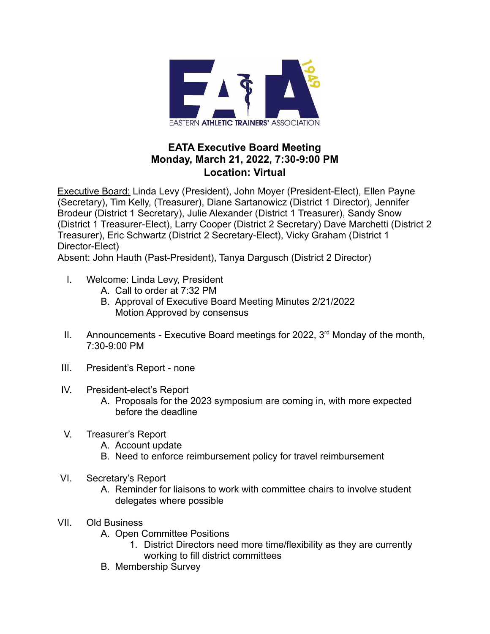

## **EATA Executive Board Meeting Monday, March 21, 2022, 7:30-9:00 PM Location: Virtual**

Executive Board: Linda Levy (President), John Moyer (President-Elect), Ellen Payne (Secretary), Tim Kelly, (Treasurer), Diane Sartanowicz (District 1 Director), Jennifer Brodeur (District 1 Secretary), Julie Alexander (District 1 Treasurer), Sandy Snow (District 1 Treasurer-Elect), Larry Cooper (District 2 Secretary) Dave Marchetti (District 2 Treasurer), Eric Schwartz (District 2 Secretary-Elect), Vicky Graham (District 1 Director-Elect)

Absent: John Hauth (Past-President), Tanya Dargusch (District 2 Director)

- I. Welcome: Linda Levy, President
	- A. Call to order at 7:32 PM
	- B. Approval of Executive Board Meeting Minutes 2/21/2022 Motion Approved by consensus
- II. Announcements Executive Board meetings for 2022,  $3<sup>rd</sup>$  Monday of the month, 7:30-9:00 PM
- III. President's Report none
- IV. President-elect's Report
	- A. Proposals for the 2023 symposium are coming in, with more expected before the deadline
- V. Treasurer's Report
	- A. Account update
	- B. Need to enforce reimbursement policy for travel reimbursement
- VI. Secretary's Report
	- A. Reminder for liaisons to work with committee chairs to involve student delegates where possible
- VII. Old Business
	- A. Open Committee Positions
		- 1. District Directors need more time/flexibility as they are currently working to fill district committees
	- B. Membership Survey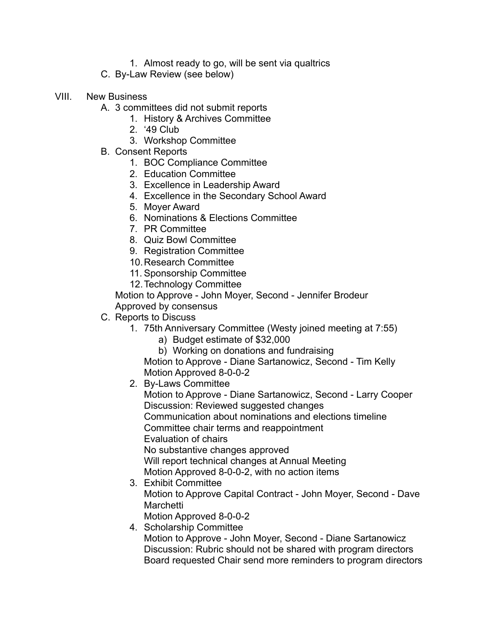- 1. Almost ready to go, will be sent via qualtrics
- C. By-Law Review (see below)
- VIII. New Business
	- A. 3 committees did not submit reports
		- 1. History & Archives Committee
		- 2. '49 Club
		- 3. Workshop Committee
	- B. Consent Reports
		- 1. BOC Compliance Committee
		- 2. Education Committee
		- 3. Excellence in Leadership Award
		- 4. Excellence in the Secondary School Award
		- 5. Moyer Award
		- 6. Nominations & Elections Committee
		- 7. PR Committee
		- 8. Quiz Bowl Committee
		- 9. Registration Committee
		- 10.Research Committee
		- 11. Sponsorship Committee
		- 12.Technology Committee

Motion to Approve - John Moyer, Second - Jennifer Brodeur Approved by consensus

- C. Reports to Discuss
	- 1. 75th Anniversary Committee (Westy joined meeting at 7:55)
		- a) Budget estimate of \$32,000
		- b) Working on donations and fundraising

Motion to Approve - Diane Sartanowicz, Second - Tim Kelly Motion Approved 8-0-0-2

2. By-Laws Committee

Motion to Approve - Diane Sartanowicz, Second - Larry Cooper Discussion: Reviewed suggested changes Communication about nominations and elections timeline Committee chair terms and reappointment Evaluation of chairs No substantive changes approved Will report technical changes at Annual Meeting Motion Approved 8-0-0-2, with no action items

- 3. Exhibit Committee Motion to Approve Capital Contract - John Moyer, Second - Dave **Marchetti** 
	- Motion Approved 8-0-0-2
- 4. Scholarship Committee

Motion to Approve - John Moyer, Second - Diane Sartanowicz Discussion: Rubric should not be shared with program directors Board requested Chair send more reminders to program directors